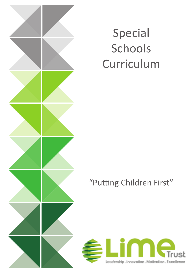

# Special Schools Curriculum

### "Putting Children First"

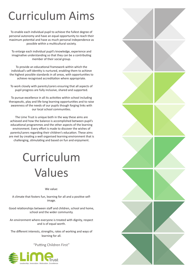# Curriculum Aims

To enable each individual pupil to achieve the fullest degree of personal autonomy and have an equal opportunity to reach their maximum potential and have as much personal independence as possible within a multicultural society.

To enlarge each individual pupil's knowledge, experience and imaginative understanding so that they can be a contributing member of their social group.

To provide an educational framework within which the individual's self-identity is nurtured, enabling them to achieve the highest possible standards in all areas, with opportunities to achieve recognised accreditation where appropriate.

To work closely with parents/carers ensuring that all aspects of pupil progress are fully inclusive, shared and supported.

To pursue excellence in all its activities within school including therapeutic, play and life-long learning opportunities and to raise awareness of the needs of our pupils though forging links with our local school communities.

The Lime Trust is unique both in the way these aims are achieved and how the balance is accomplished between pupil's educational programmes and the other aspects of the learning environment. Every effort is made to discover the wishes of parents/carers regarding their children's education. These aims are met by creating a well organised learning environment that is challenging, stimulating and based on fun and enjoyment.

# Curriculum Values

We value:

A climate that fosters fun, learning for all and a positive selfimage.

Good relationships between staff and children, school and home, school and the wider community.

An environment where everyone is treated with dignity, respect and is of equal worth.

The different interests, strengths, rates of working and ways of learning for all.

"Putting Children First"



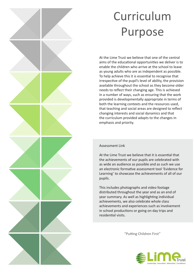# Curriculum Purpose

At the Lime Trust we believe that one of the central aims of the educational opportunities we deliver is to enable the children who arrive at the school to leave as young adults who are as independent as possible. To help achieve this it is essential to recognise that irrespective of the pupil's level of ability, the provision available throughout the school as they become older needs to reflect their changing age. This is achieved in a number of ways, such as ensuring that the work provided is developmentally appropriate in terms of both the learning contexts and the resources used, that teaching and social areas are designed to reflect changing interests and social dynamics and that the curriculum provided adapts to the changes in emphasis and priority.

#### Assessment Link

At the Lime Trust we believe that it is essential that the achievements of our pupils are celebrated with as wide an audience as possible and as such we use an electronic formative assessment tool 'Evidence for Learning' to showcase the achievements of all of our pupils.

This includes photographs and video footage distributed throughout the year and as an end of year summary. As well as highlighting individual achievements, we also celebrate whole class achievements and experiences such as involvement in school productions or going on day trips and residential visits.

"Putting Children First"



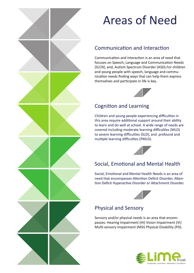

# Areas of Need

### Communication and Interaction

Communication and interaction is an area of need that focuses on Speech, Language and Communication Needs (SLCN), and, Autism Spectrum Disorder (ASD).For children and young people with speech, language and communication needs finding ways that can help them express themselves and participate in life is key.



### Cognition and Learning

Children and young people experiencing difficulties in this area require additional support around their ability to learn and do well at school. A wide range of needs are covered including moderate learning difficulties (MLD) to severe learning difficulties (SLD); and profound and multiple learning difficulties (PMLD).



### Social, Emotional and Mental Health

Social, Emotional and Mental Health Needs is an area of need that encompasses Attention Deficit Disorder, Attention Deficit Hyperactive Disorder or Attachment Disorder.



### Physical and Sensory

Sensory and/or physical needs is an area that encompasses: Hearing Impairment (HI) Vision Impairment (VI) Multi-sensory Impairment (MSI) Physical Disability (PD).

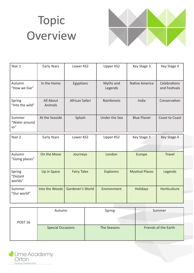# Topic **Overview**



| Year 1                         | Early Years          | Lower KS2          | Upper KS2            | Key Stage 3            | Key Stage 4                   |
|--------------------------------|----------------------|--------------------|----------------------|------------------------|-------------------------------|
| Autumn<br>"How we live"        | In the Home          | Egyptians          | Myths and<br>Legends | Native America         | Celebrations<br>and Festivals |
| Spring<br>"Into the wild"      | All About<br>Animals | African Safari     | Rainforests          | India                  | Conservation                  |
| Summer<br>"Water around<br>us" | At the Seaside       | Splash             | Under the Sea        | <b>Blue Planet</b>     | Coast to Coast                |
| Year 2                         | <b>Early Years</b>   | Lower KS2          | Upper KS2            | Key Stage 3            | Key Stage 4                   |
|                                |                      |                    |                      |                        |                               |
| Autumn<br>"Going places"       | On the Move          | Journeys           | London               | Europe                 | <b>Travel</b>                 |
| Spring<br>"Distant<br>worlds"  | Up in Space          | <b>Fairy Tales</b> | <b>Explorers</b>     | <b>Mystical Places</b> | Legends                       |

|                    | Autumn                   | Spring      | Summer               |
|--------------------|--------------------------|-------------|----------------------|
| POST <sub>16</sub> |                          |             |                      |
|                    | <b>Special Occasions</b> | The Seasons | Friends of the Earth |

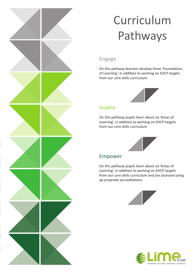# Curriculum Pathways

#### Engage

On this pathway learners develop three 'Foundations of Learning', in addition to working on EHCP targets from our core skills curriculum.



#### Inspire

On this pathway pupils learn about six 'Areas of Learning', in addition to working on EHCP targets from our core skills curriculum



#### Empower

On this pathway pupils learn about six 'Areas of Learning', in addition to working on EHCP targets from our core skills curriculum and are assessed using ap-propriate accreditations.





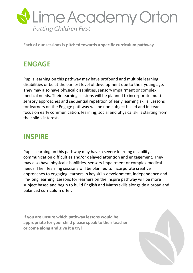

**Each of our sessions is pitched towards a specific curriculum pathway** 

### **ENGAGE**

Pupils learning on this pathway may have profound and multiple learning disabilities or be at the earliest level of development due to their young age. They may also have physical disabilities, sensory impairment or complex medical needs. Their learning sessions will be planned to incorporate multisensory approaches and sequential repetition of early learning skills. Lessons for learners on the Engage pathway will be non-subject based and instead focus on early communication, learning, social and physical skills starting from the child's interests.

### **INSPIRE**

Pupils learning on this pathway may have a severe learning disability, communication difficulties and/or delayed attention and engagement. They may also have physical disabilities, sensory impairment or complex medical needs. Their learning sessions will be planned to incorporate creative approaches to engaging learners in key skills development, independence and life-long learning. Lessons for learners on the Inspire pathway will be more subject based and begin to build English and Maths skills alongside a broad and balanced curriculum offer.

**If you are unsure which pathway lessons would be appropriate for your child please speak to their teacher or come along and give it a try!** 

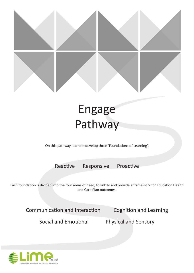

## Engage Pathway

On this pathway learners develop three 'Foundations of Learning',

Reactive Responsive Proactive

Each foundation is divided into the four areas of need, to link to and provide a framework for Education Health and Care Plan outcomes.

Communication and Interaction Cognition and Learning

Social and Emotional Physical and Sensory

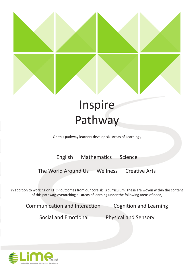

### Inspire Pathway

On this pathway learners develop six 'Areas of Learning',

English Mathematics Science

The World Around Us Wellness Creative Arts

in addition to working on EHCP outcomes from our core skills curriculum. These are woven within the content of this pathway, overarching all areas of learning under the following areas of need,

Communication and Interaction Cognition and Learning

Social and Emotional Physical and Sensory

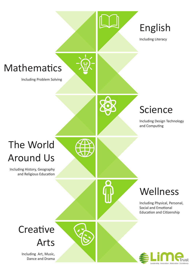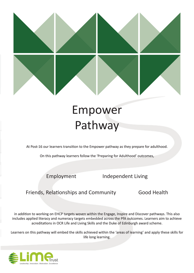

### Empower Pathway

At Post-16 our learners transition to the Empower pathway as they prepare for adulthood.

On this pathway learners follow the 'Preparing for Adulthood' outcomes,

Employment Independent Living

Friends, Relationships and Community Good Health

in addition to working on EHCP targets woven within the Engage, Inspire and Discover pathways. This also includes applied literacy and numeracy targets embedded across the PfA outcomes. Learners aim to achieve acreditations in OCR Life and Living Skills and the Duke of Edinburgh award scheme.

Learners on this pathway will embed the skills achieved within the 'areas of learning' and apply these skills for life long learning.